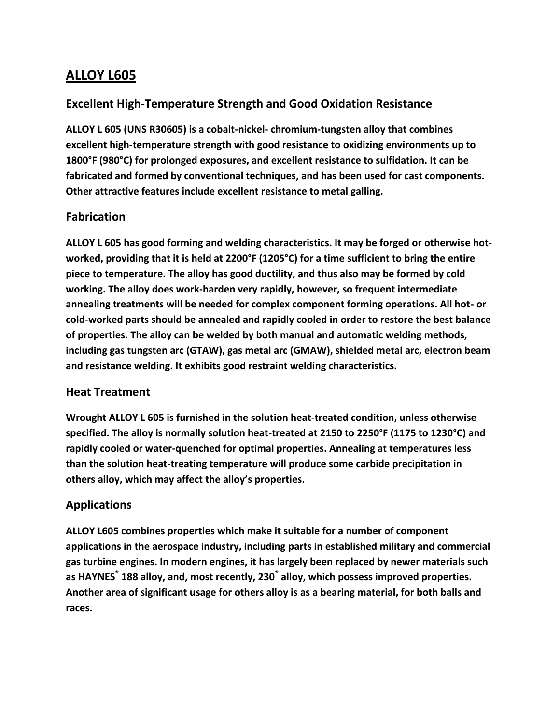### **ALLOY L605**

### **Excellent High-Temperature Strength and Good Oxidation Resistance**

**ALLOY L 605 (UNS R30605) is a cobalt-nickel- chromium-tungsten alloy that combines excellent high-temperature strength with good resistance to oxidizing environments up to 1800°F (980°C) for prolonged exposures, and excellent resistance to sulfidation. It can be fabricated and formed by conventional techniques, and has been used for cast components. Other attractive features include excellent resistance to metal galling.**

#### **Fabrication**

**ALLOY L 605 has good forming and welding characteristics. It may be forged or otherwise hotworked, providing that it is held at 2200°F (1205°C) for a time sufficient to bring the entire piece to temperature. The alloy has good ductility, and thus also may be formed by cold working. The alloy does work-harden very rapidly, however, so frequent intermediate annealing treatments will be needed for complex component forming operations. All hot- or cold-worked parts should be annealed and rapidly cooled in order to restore the best balance of properties. The alloy can be welded by both manual and automatic welding methods, including gas tungsten arc (GTAW), gas metal arc (GMAW), shielded metal arc, electron beam and resistance welding. It exhibits good restraint welding characteristics.**

#### **Heat Treatment**

**Wrought ALLOY L 605 is furnished in the solution heat-treated condition, unless otherwise specified. The alloy is normally solution heat-treated at 2150 to 2250°F (1175 to 1230°C) and rapidly cooled or water-quenched for optimal properties. Annealing at temperatures less than the solution heat-treating temperature will produce some carbide precipitation in others alloy, which may affect the alloy's properties.**

#### **Applications**

**ALLOY L605 combines properties which make it suitable for a number of component applications in the aerospace industry, including parts in established military and commercial gas turbine engines. In modern engines, it has largely been replaced by newer materials such as HAYNES® 188 alloy, and, most recently, 230® alloy, which possess improved properties. Another area of significant usage for others alloy is as a bearing material, for both balls and races.**